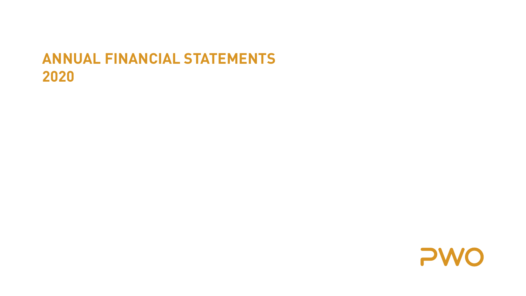## **ANNUAL FINANCIAL STATEMENTS 2020**

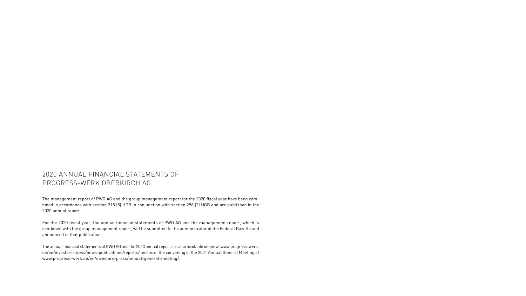### 2020 ANNUAL FINANCIAL STATEMENTS OF PROGRESS-WERK OBERKIRCH AG

The management report of PWO AG and the group management report for the 2020 fiscal year have been combined in accordance with section 315 (5) HGB in conjunction with section 298 (2) HGB and are published in the 2020 annual report.

For the 2020 fiscal year, the annual financial statements of PWO AG and the management report, which is combined with the group management report, will be submitted to the administrator of the Federal Gazette and announced in that publication.

The annual financial statements of PWO AG and the 2020 annual report are also available online at www.progress-werk. de/en/investors-press/news-publications/reports/ and as of the convening of the 2021 Annual General Meeting at www.progress-werk.de/en/investors-press/annual-general-meeting/.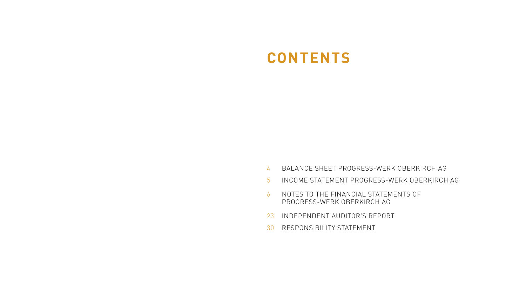## **CONTENTS**

- 4 BALANCE SHEET PROGRESS-WERK OBERKIRCH AG
- 5 INCOME STATEMENT PROGRESS-WERK OBERKIRCH AG
- 6 NOTES TO THE FINANCIAL STATEMENTS OF PROGRESS-WERK OBERKIRCH AG
- 23 INDEPENDENT AUDITOR'S REPORT
- 30 RESPONSIBILITY STATEMENT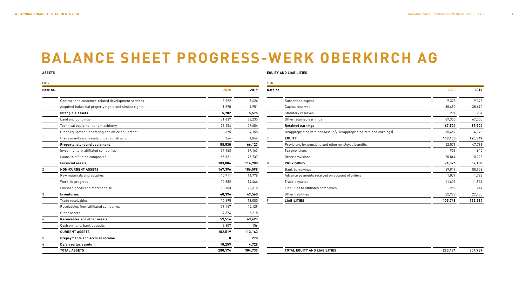## **BALANCE SHEET PROGRESS-WERK OBERKIRCH AG**

#### **ASSETS**

#### **EQUITY AND LIABILITIES**

| EURk     |                                                        |              |         | EURk     |                                                                      |           |         |
|----------|--------------------------------------------------------|--------------|---------|----------|----------------------------------------------------------------------|-----------|---------|
| Note no. |                                                        | 2020         | 2019    | Note no. |                                                                      | 2020      | 2019    |
|          | Contract and customer-related development services     | 3,792        | 3,624   |          | Subscribed capital                                                   | 9,375     | 9,375   |
|          | Acquired industrial property rights and similar rights | 1,990        | 1,951   |          | Capital reserves                                                     | 38,690    | 38,690  |
|          | Intangible assets                                      | 5,782        | 5,575   |          | Statutory reserves                                                   | 204       | 204     |
|          | Land and buildings                                     | 31,637       | 33,235  |          | Other retained earnings                                              | 67,300    | 67,300  |
|          | Technical equipment and machinery                      | 23,154       | 27,684  |          | <b>Retained earnings</b>                                             | 67,504    | 67,504  |
|          | Other equipment, operating and office equipment        | 3,375        | 4,158   |          | Unappropriated retained loss (p/y: unappropriated retained earnings) | $-15,469$ | 4,778   |
|          | Prepayments and assets under construction              | 364          | 1,046   | 7        | <b>EQUITY</b>                                                        | 100,100   | 120,347 |
|          | Property, plant and equipment                          | 58,530       | 66,123  |          | Provisions for pensions and other employee benefits                  | 52,579    | 47,793  |
|          | Investments in affiliated companies                    | 37,163       | 37,163  |          | Tax provisions                                                       | 903       | 640     |
|          | Loans to affiliated companies                          | 65,921       | 77,737  |          | Other provisions                                                     | 20,844    | 10,725  |
|          | <b>Financial assets</b>                                | 103.084      | 114,900 | 8        | <b>PROVISIONS</b>                                                    | 74,326    | 59,158  |
| 2        | <b>NON-CURRENT ASSETS</b>                              | 167,396      | 186,598 |          | Bank borrowings                                                      | 69,819    | 88,908  |
|          | Raw materials and supplies                             | 10,711       | 11,778  |          | Advance payments received on account of orders                       | 1,079     | 1,723   |
|          | Work-in-progress                                       | 10,982       | 14,464  |          | Trade payables                                                       | 11,633    | 11,954  |
|          | Finished goods and merchandise                         | 18,703       | 23,318  |          | Liabilities to affiliated companies                                  | 288       | 214     |
|          | Inventories                                            | 40,396       | 49,560  |          | Other liabilities                                                    | 22,929    | 22,435  |
|          | Trade receivables                                      | 10,695       | 13,080  |          | <b>LIABILITIES</b>                                                   | 105,748   | 125,234 |
|          | Receivables from affiliated companies                  | 39,447       | 45,129  |          |                                                                      |           |         |
|          | Other assets                                           | 9,374        | 5,218   |          |                                                                      |           |         |
|          | Receivables and other assets                           | 59,516       | 63,427  |          |                                                                      |           |         |
|          | Cash on hand, bank deposits                            | 2,607        | 156     |          |                                                                      |           |         |
|          | <b>CURRENT ASSETS</b>                                  | 102,519      | 113,143 |          |                                                                      |           |         |
|          | Prepayments and accrued income                         | $\mathbf{0}$ | 270     |          |                                                                      |           |         |
|          | <b>Deferred tax assets</b>                             | 10,259       | 4,728   |          |                                                                      |           |         |
|          | <b>TOTAL ASSETS</b>                                    | 280,174      | 304,739 |          | <b>TOTAL EQUITY AND LIABILITIES</b>                                  | 280,174   | 304,739 |

|                                                        |         |         | EURk     |                                                                      |         |         |
|--------------------------------------------------------|---------|---------|----------|----------------------------------------------------------------------|---------|---------|
|                                                        | 2020    | 2019    | Note no. |                                                                      | 2020    | 2019    |
| Contract and customer-related development services     | 3,792   | 3,624   |          | Subscribed capital                                                   | 9,375   | 9,375   |
| Acquired industrial property rights and similar rights | 1,990   | 1,951   |          | Capital reserves                                                     | 38,690  | 38,690  |
| Intangible assets                                      | 5,782   | 5,575   |          | Statutory reserves                                                   | 204     | 204     |
| Land and buildings                                     | 31,637  | 33,235  |          | Other retained earnings                                              | 67,300  | 67,300  |
| Technical equipment and machinery                      | 23,154  | 27,684  |          | <b>Retained earnings</b>                                             | 67,504  | 67,504  |
| Other equipment, operating and office equipment        | 3,375   | 4,158   |          | Unappropriated retained loss (p/y: unappropriated retained earnings) | -15,469 | 4,778   |
| Prepayments and assets under construction              | 364     | 1,046   |          | <b>EQUITY</b>                                                        | 100,100 | 120,347 |
| Property, plant and equipment                          | 58,530  | 66,123  |          | Provisions for pensions and other employee benefits                  | 52,579  | 47,793  |
| Investments in affiliated companies                    | 37,163  | 37,163  |          | Tax provisions                                                       | 903     | 640     |
| Loans to affiliated companies                          | 65,921  | 77,737  |          | Other provisions                                                     | 20,844  | 10,725  |
| Financial assets                                       | 103,084 | 114,900 |          | <b>PROVISIONS</b>                                                    | 74,326  | 59,158  |
| <b>NON-CURRENT ASSETS</b>                              | 167,396 | 186,598 |          | Bank borrowings                                                      | 69,819  | 88,908  |
| Raw materials and supplies                             | 10,711  | 11,778  |          | Advance payments received on account of orders                       | 1,079   | 1,723   |
| Work-in-progress                                       | 10,982  | 14,464  |          | Trade payables                                                       | 11,633  | 11,954  |
| Finished goods and merchandise                         | 18.703  | 23,318  |          | Liabilities to affiliated companies                                  | 288     | 214     |
| Inventories                                            | 40,396  | 49,560  |          | Other liabilities                                                    | 22,929  | 22,435  |
| Trade receivables                                      | 10,695  | 13,080  |          | <b>LIABILITIES</b>                                                   | 105,748 | 125,234 |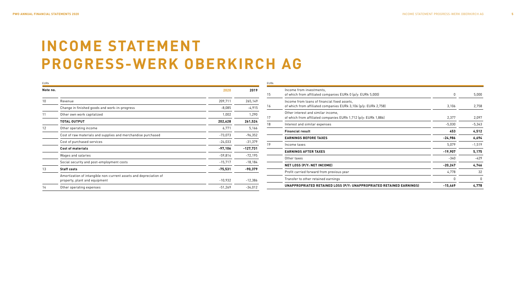# **INCOME STATEMENT PROGRESS-WERK OBERKIRCH AG**

| <b>EURk</b> |                                                                                                    |           |            |
|-------------|----------------------------------------------------------------------------------------------------|-----------|------------|
| Note no.    |                                                                                                    | 2020      | 2019       |
| 10          | Revenue                                                                                            | 209,711   | 265,149    |
|             | Change in finished goods and work-in-progress                                                      | $-8,085$  | $-4,915$   |
| 11          | Other own work capitalized                                                                         | 1,002     | 1,290      |
|             | <b>TOTAL OUTPUT</b>                                                                                | 202,628   | 261,524    |
| 12          | Other operating income                                                                             | 6,771     | 5,166      |
|             | Cost of raw materials and supplies and merchandise purchased                                       | $-73,073$ | $-96,352$  |
|             | Cost of purchased services                                                                         | $-24,033$ | $-31,379$  |
|             | <b>Cost of materials</b>                                                                           | $-97,106$ | $-127,731$ |
|             | Wages and salaries                                                                                 | $-59,814$ | $-72,195$  |
|             | Social security and post-employment costs                                                          | $-15,717$ | $-18,184$  |
| 13          | <b>Staff costs</b>                                                                                 | $-75,531$ | $-90,379$  |
|             | Amortization of intangible non-current assets and depreciation of<br>property, plant and equipment | $-10,932$ | $-12,386$  |
| 14          | Other operating expenses                                                                           | $-51,269$ | $-34,012$  |

| <b>FURk</b> |                                                                                                                 |           |          |
|-------------|-----------------------------------------------------------------------------------------------------------------|-----------|----------|
| 15          | Income from investments,<br>of which from affiliated companies EURk 0 (p/y: EURk 5,000)                         | 0         | 5,000    |
| 16          | Income from loans of financial fixed assets.<br>of which from affiliated companies EURk 3,106 (p/y: EURk 2,758) | 3,106     | 2,758    |
| 17          | Other interest and similar income,<br>of which from affiliated companies EURk 1,712 (p/y: EURk 1,886)           | 2,377     | 2,097    |
| 18          | Interest and similar expenses                                                                                   | $-5,030$  | $-5,343$ |
|             | <b>Financial result</b>                                                                                         | 453       | 4,512    |
|             | <b>EARNINGS BEFORE TAXES</b>                                                                                    | $-24,986$ | 6,694    |
| 19          | Income taxes                                                                                                    | 5,079     | $-1,519$ |
|             | <b>EARNINGS AFTER TAXES</b>                                                                                     | $-19,907$ | 5,175    |
|             | Other taxes                                                                                                     | $-340$    | -429     |
|             | NET LOSS (P/Y: NET INCOME)                                                                                      | $-20,247$ | 4,746    |
|             | Profit carried forward from previous year                                                                       | 4,778     | 32       |
|             | Transfer to other retained earnings                                                                             | 0         | $\Omega$ |
|             | UNAPPROPRIATED RETAINED LOSS (P/Y: UNAPPROPRIATED RETAINED EARNINGS)                                            | $-15,469$ | 4,778    |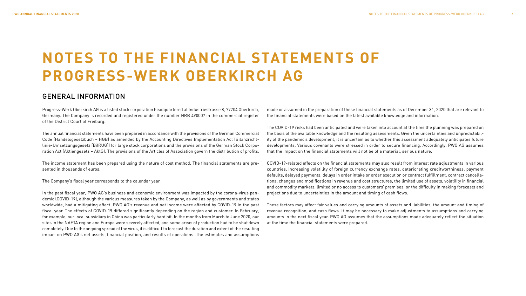# **NOTES TO THE FINANCIAL STATEMENTS OF PROGRESS-WERK OBERKIRCH AG**

### GENERAL INFORMATION

Progress-Werk Oberkirch AG is a listed stock corporation headquartered at Industriestrasse 8, 77704 Oberkirch, Germany. The Company is recorded and registered under the number HRB 490007 in the commercial register of the District Court of Freiburg.

The annual financial statements have been prepared in accordance with the provisions of the German Commercial Code (Handelsgesetzbuch – HGB) as amended by the Accounting Directives Implementation Act (Bilanzrichtlinie-Umsetzungsgesetz [BilRUG]) for large stock corporations and the provisions of the German Stock Corporation Act (Aktiengesetz – AktG). The provisions of the Articles of Association govern the distribution of profits.

The income statement has been prepared using the nature of cost method. The financial statements are presented in thousands of euros.

The Company's fiscal year corresponds to the calendar year.

In the past fiscal year, PWO AG's business and economic environment was impacted by the corona-virus pandemic (COVID-19), although the various measures taken by the Company, as well as by governments and states worldwide, had a mitigating effect. PWO AG's revenue and net income were affected by COVID-19 in the past fiscal year. The effects of COVID-19 differed significantly depending on the region and customer. In February, for example, our local subsidiary in China was particularly hard hit. In the months from March to June 2020, our sites in the NAFTA region and Europe were severely affected, and some areas of production had to be shut down completely. Due to the ongoing spread of the virus, it is difficult to forecast the duration and extent of the resulting impact on PWO AG's net assets, financial position, and results of operations. The estimates and assumptions made or assumed in the preparation of these financial statements as of December 31, 2020 that are relevant to the financial statements were based on the latest available knowledge and information.

The COVID-19 risks had been anticipated and were taken into account at the time the planning was prepared on the basis of the available knowledge and the resulting assessments. Given the uncertainties and unpredictability of the pandemic's development, it is uncertain as to whether this assessment adequately anticipates future developments. Various covenants were stressed in order to secure financing. Accordingly, PWO AG assumes that the impact on the financial statements will not be of a material, serious nature.

COVID-19-related effects on the financial statements may also result from interest rate adjustments in various countries, increasing volatility of foreign currency exchange rates, deteriorating creditworthiness, payment defaults, delayed payments, delays in order intake or order execution or contract fulfillment, contract cancellations, changes and modifications in revenue and cost structures, the limited use of assets, volatility in financial and commodity markets, limited or no access to customers' premises, or the difficulty in making forecasts and projections due to uncertainties in the amount and timing of cash flows.

These factors may affect fair values and carrying amounts of assets and liabilities, the amount and timing of revenue recognition, and cash flows. It may be necessary to make adjustments to assumptions and carrying amounts in the next fiscal year. PWO AG assumes that the assumptions made adequately reflect the situation at the time the financial statements were prepared.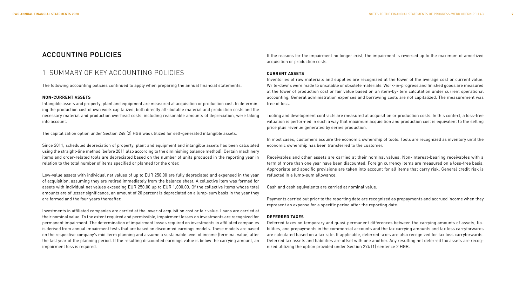### ACCOUNTING POLICIES

### 1 SUMMARY OF KEY ACCOUNTING POLICIES

The following accounting policies continued to apply when preparing the annual financial statements.

#### **NON-CURRENT ASSETS**

Intangible assets and property, plant and equipment are measured at acquisition or production cost. In determining the production cost of own work capitalized, both directly attributable material and production costs and the necessary material and production overhead costs, including reasonable amounts of depreciation, were taking into account.

The capitalization option under Section 248 (2) HGB was utilized for self-generated intangible assets.

Since 2011, scheduled depreciation of property, plant and equipment and intangible assets has been calculated using the straight-line method (before 2011 also according to the diminishing balance method). Certain machinery items and order-related tools are depreciated based on the number of units produced in the reporting year in relation to the total number of items specified or planned for the order.

Low-value assets with individual net values of up to EUR 250.00 are fully depreciated and expensed in the year of acquisition, assuming they are retired immediately from the balance sheet. A collective item was formed for assets with individual net values exceeding EUR 250.00 up to EUR 1,000.00. Of the collective items whose total amounts are of lesser significance, an amount of 20 percent is depreciated on a lump-sum basis in the year they are formed and the four years thereafter.

Investments in affiliated companies are carried at the lower of acquisition cost or fair value. Loans are carried at their nominal value. To the extent required and permissible, impairment losses on investments are recognized for permanent impairment. The determination of impairment losses required on investments in affiliated companies is derived from annual impairment tests that are based on discounted earnings models. These models are based on the respective company's mid-term planning and assume a sustainable level of income (terminal value) after the last year of the planning period. If the resulting discounted earnings value is below the carrying amount, an impairment loss is required.

If the reasons for the impairment no longer exist, the impairment is reversed up to the maximum of amortized acquisition or production costs.

#### **CURRENT ASSETS**

Inventories of raw materials and supplies are recognized at the lower of the average cost or current value. Write-downs were made to unsalable or obsolete materials. Work-in-progress and finished goods are measured at the lower of production cost or fair value based on an item-by-item calculation under current operational accounting. General administration expenses and borrowing costs are not capitalized. The measurement was free of loss.

Tooling and development contracts are measured at acquisition or production costs. In this context, a loss-free valuation is performed in such a way that maximum acquisition and production cost is equivalent to the selling price plus revenue generated by series production.

In most cases, customers acquire the economic ownership of tools. Tools are recognized as inventory until the economic ownership has been transferred to the customer.

Receivables and other assets are carried at their nominal values. Non-interest-bearing receivables with a term of more than one year have been discounted. Foreign currency items are measured on a loss-free basis. Appropriate and specific provisions are taken into account for all items that carry risk. General credit risk is reflected in a lump-sum allowance.

Cash and cash equivalents are carried at nominal value.

Payments carried out prior to the reporting date are recognized as prepayments and accrued income when they represent an expense for a specific period after the reporting date.

#### **DEFERRED TAXES**

Deferred taxes on temporary and quasi-permanent differences between the carrying amounts of assets, liabilities, and prepayments in the commercial accounts and the tax carrying amounts and tax loss carryforwards are calculated based on a tax rate. If applicable, deferred taxes are also recognized for tax loss carryforwards. Deferred tax assets and liabilities are offset with one another. Any resulting net deferred tax assets are recognized utilizing the option provided under Section 274 (1) sentence 2 HGB.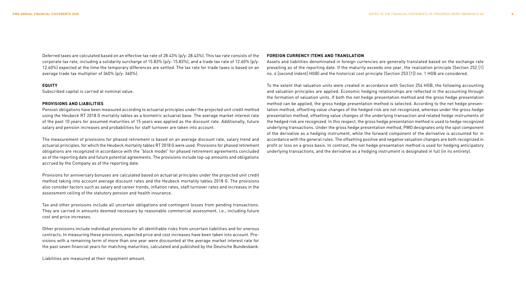Deferred taxes are calculated based on an effective tax rate of 28.43% (p/y: 28.43%). This tax rate consists of the corporate tax rate, including a solidarity surcharge of 15.83% (p/y: 15.83%), and a trade tax rate of 12.60% (p/y: 12.60%) expected at the time the temporary differences are settled. The tax rate for trade taxes is based on an average trade tax multiplier of 360% (p/y: 360%).

#### **EQUITY**

Subscribed capital is carried at nominal value.

#### **PROVISIONS AND LIABILITIES**

Pension obligations have been measured according to actuarial principles under the projected unit credit method using the Heubeck RT 2018 G mortality tables as a biometric actuarial base. The average market interest rate of the past 10 years for assumed maturities of 15 years was applied as the discount rate. Additionally, future salary and pension increases and probabilities for staff turnover are taken into account.

The measurement of provisions for phased retirement is based on an average discount rate, salary trend and actuarial principles, for which the Heubeck mortality tables RT 2018 G were used. Provisions for phased retirement obligations are recognized in accordance with the "block model" for phased retirement agreements concluded as of the reporting date and future potential agreements. The provisions include top-up amounts and obligations accrued by the Company as of the reporting date.

Provisions for anniversary bonuses are calculated based on actuarial principles under the projected unit credit method taking into account average discount rates and the Heubeck mortality tables 2018 G. The provisions also consider factors such as salary and career trends, inflation rates, staff turnover rates and increases in the assessment ceiling of the statutory pension and health insurance.

Tax and other provisions include all uncertain obligations and contingent losses from pending transactions. They are carried in amounts deemed necessary by reasonable commercial assessment, i.e., including future cost and price increases.

Other provisions include individual provisions for all identifiable risks from uncertain liabilities and for onerous contracts. In measuring these provisions, expected price and cost increases have been taken into account. Provisions with a remaining term of more than one year were discounted at the average market interest rate for the past seven financial years for matching maturities, calculated and published by the Deutsche Bundesbank.

Liabilities are measured at their repayment amount.

#### **FOREIGN CURRENCY ITEMS AND TRANSLATION**

Assets and liabilities denominated in foreign currencies are generally translated based on the exchange rate prevailing as of the reporting date. If the maturity exceeds one year, the realization principle (Section 252 [1] no. 4 [second indent] HGB) and the historical cost principle (Section 253 [1]) no. 1 HGB are considered.

To the extent that valuation units were created in accordance with Section 254 HGB, the following accounting and valuation principles are applied: Economic hedging relationships are reflected in the accounting through the formation of valuation units. If both the net hedge presentation method and the gross hedge presentation method can be applied, the gross hedge presentation method is selected. According to the net hedge presentation method, offsetting value changes of the hedged risk are not recognized, whereas under the gross hedge presentation method, offsetting value changes of the underlying transaction and related hedge instruments of the hedged risk are recognized. In this respect, the gross hedge presentation method is used to hedge recognized underlying transactions. Under the gross hedge presentation method, PWO designates only the spot component of the derivative as a hedging instrument, while the forward component of the derivative is accounted for in accordance with the general rules. The offsetting positive and negative valuation changes are both recognized in profit or loss on a gross basis. In contrast, the net hedge presentation method is used for hedging anticipatory underlying transactions, and the derivative as a hedging instrument is designated in full (in its entirety).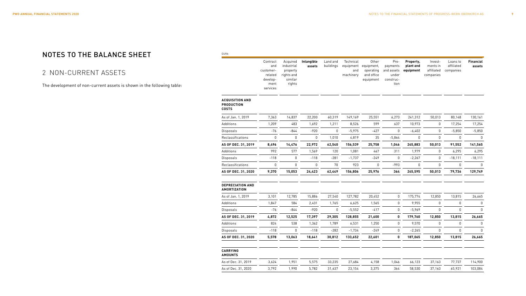### NOTES TO THE BALANCE SHEET

### 2 NON-CURRENT ASSETS

The development of non-current assets is shown in the following table:

| EURk                                                        |                                                                         |                                                                       |                      |                       |                                            |                                                             |                                                              |                                     |                                                |                                     |                            |
|-------------------------------------------------------------|-------------------------------------------------------------------------|-----------------------------------------------------------------------|----------------------|-----------------------|--------------------------------------------|-------------------------------------------------------------|--------------------------------------------------------------|-------------------------------------|------------------------------------------------|-------------------------------------|----------------------------|
|                                                             | Contract<br>and<br>customer-<br>related<br>develop-<br>ment<br>services | Acquired<br>industrial<br>property<br>rights and<br>similar<br>rights | Intangible<br>assets | Land and<br>buildings | Technical<br>equipment<br>and<br>machinery | Other<br>equipment,<br>operating<br>and office<br>equipment | Pre-<br>payments<br>and assets<br>under<br>construc-<br>tion | Property,<br>plant and<br>equipment | Invest-<br>ments in<br>affiliated<br>companies | Loans to<br>affiliated<br>companies | <b>Financial</b><br>assets |
| <b>ACQUISITION AND</b><br><b>PRODUCTION</b><br><b>COSTS</b> |                                                                         |                                                                       |                      |                       |                                            |                                                             |                                                              |                                     |                                                |                                     |                            |
| As of Jan. 1, 2019                                          | 7,363                                                                   | 14,837                                                                | 22,200               | 60,319                | 149,169                                    | 25,551                                                      | 6,273                                                        | 241,312                             | 50,013                                         | 80,148                              | 130,161                    |
| Additions                                                   | 1,209                                                                   | 483                                                                   | 1,692                | 1,211                 | 8,526                                      | 599                                                         | 637                                                          | 10,973                              | 0                                              | 17,254                              | 17,254                     |
| <b>Disposals</b>                                            | $-76$                                                                   | $-844$                                                                | $-920$               | $\mathbf 0$           | $-5,975$                                   | $-427$                                                      | $\mathbf 0$                                                  | $-6,402$                            | $\mathbf 0$                                    | $-5,850$                            | $-5,850$                   |
| Reclassifications                                           | $\mathbf 0$                                                             | $\boldsymbol{0}$                                                      | $\boldsymbol{0}$     | 1,010                 | 4,819                                      | 35                                                          | $-5,864$                                                     | $\boldsymbol{0}$                    | $\mathbf 0$                                    | $\mathbf 0$                         | $\mathbf{0}$               |
| AS OF DEC. 31, 2019                                         | 8,496                                                                   | 14,476                                                                | 22,972               | 62,540                | 156,539                                    | 25,758                                                      | 1,046                                                        | 245,883                             | 50,013                                         | 91,552                              | 141,565                    |
| Additions                                                   | 992                                                                     | 577                                                                   | 1,569                | 120                   | 1,081                                      | 467                                                         | 311                                                          | 1,979                               | 0                                              | 6,295                               | 6,295                      |
| Disposals                                                   | $-118$                                                                  | 0                                                                     | $-118$               | $-281$                | $-1,737$                                   | $-249$                                                      | $\pmb{0}$                                                    | $-2,267$                            | $\pmb{0}$                                      | $-18,111$                           | $-18,111$                  |
| Reclassifications                                           | $\mathbf 0$                                                             | 0                                                                     | $\boldsymbol{0}$     | 70                    | 923                                        | $\pmb{0}$                                                   | $-993$                                                       | 0                                   | $\boldsymbol{0}$                               | 0                                   | 0                          |
| AS OF DEC. 31, 2020                                         | 9,370                                                                   | 15,053                                                                | 24,423               | 62,449                | 156,806                                    | 25,976                                                      | 364                                                          | 245,595                             | 50,013                                         | 79,736                              | 129,749                    |
| <b>DEPRECIATION AND</b><br><b>AMORTIZATION</b>              |                                                                         |                                                                       |                      |                       |                                            |                                                             |                                                              |                                     |                                                |                                     |                            |
| As of Jan. 1, 2019                                          | 3,101                                                                   | 12,785                                                                | 15,886               | 27,540                | 127,782                                    | 20,452                                                      | $\pmb{0}$                                                    | 175,774                             | 12,850                                         | 13,815                              | 26,665                     |
| Additions                                                   | 1,847                                                                   | 584                                                                   | 2,431                | 1,765                 | 6,625                                      | 1,565                                                       | $\mathbf 0$                                                  | 9,955                               | 0                                              | $\mathbf 0$                         | 0                          |
| Disposals                                                   | $-76$                                                                   | $-844$                                                                | $-920$               | 0                     | $-5,552$                                   | $-417$                                                      | $\mathbf 0$                                                  | $-5,969$                            | 0                                              | $\mathbf 0$                         | 0                          |
| AS OF DEC. 31, 2019                                         | 4,872                                                                   | 12,525                                                                | 17,397               | 29,305                | 128,855                                    | 21,600                                                      | 0                                                            | 179,760                             | 12,850                                         | 13,815                              | 26,665                     |
| Additions                                                   | 824                                                                     | 538                                                                   | 1,362                | 1,789                 | 6,531                                      | 1,250                                                       | $\mathbf 0$                                                  | 9,570                               | 0                                              | $\mathbf 0$                         | 0                          |
| Disposals                                                   | $-118$                                                                  | $\mathbf 0$                                                           | $-118$               | $-282$                | $-1,734$                                   | $-249$                                                      | $\mathbf 0$                                                  | $-2,265$                            | $\mathbf 0$                                    | $\mathbf 0$                         | 0                          |
| AS OF DEC. 31, 2020                                         | 5,578                                                                   | 13,063                                                                | 18,641               | 30,812                | 133,652                                    | 22,601                                                      | 0                                                            | 187,065                             | 12,850                                         | 13,815                              | 26,665                     |
| <b>CARRYING</b><br><b>AMOUNTS</b>                           |                                                                         |                                                                       |                      |                       |                                            |                                                             |                                                              |                                     |                                                |                                     |                            |
| As of Dec. 31, 2019                                         | 3,624                                                                   | 1,951                                                                 | 5,575                | 33,235                | 27,684                                     | 4,158                                                       | 1,046                                                        | 66,123                              | 37,163                                         | 77,737                              | 114,900                    |
| As of Dec. 31, 2020                                         | 3,792                                                                   | 1,990                                                                 | 5,782                | 31,637                | 23,154                                     | 3,375                                                       | 364                                                          | 58,530                              | 37,163                                         | 65,921                              | 103,084                    |
|                                                             |                                                                         |                                                                       |                      |                       |                                            |                                                             |                                                              |                                     |                                                |                                     |                            |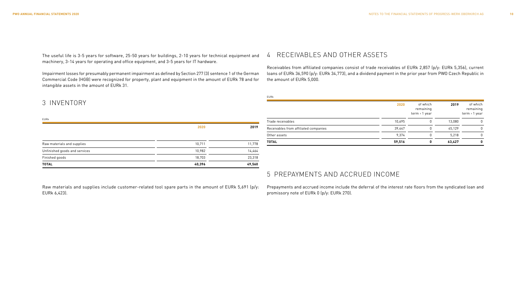The useful life is 3-5 years for software, 25-50 years for buildings, 2-10 years for technical equipment and machinery, 3-14 years for operating and office equipment, and 3-5 years for IT hardware.

Impairment losses for presumably permanent impairment as defined by Section 277 (3) sentence 1 of the German Commercial Code (HGB) were recognized for property, plant and equipment in the amount of EURk 78 and for intangible assets in the amount of EURk 31.

#### 4 RECEIVABLES AND OTHER ASSETS

EURk

Receivables from affiliated companies consist of trade receivables of EURk 2,857 (p/y: EURk 5,356), current loans of EURk 36,590 (p/y: EURk 34,773), and a dividend payment in the prior year from PWO Czech Republic in the amount of EURk 5,000.

| EURk                          |        |        |
|-------------------------------|--------|--------|
|                               | 2020   | 2019   |
| Raw materials and supplies    | 10,711 | 11,778 |
| Unfinished goods and services | 10,982 | 14,464 |
| Finished goods                | 18,703 | 23,318 |
| <b>TOTAL</b>                  | 40,396 | 49,560 |

3 INVENTORY

| <b>TOTAL</b>                          | 59,516 | 0                                        | 63,427 | 0                                        |
|---------------------------------------|--------|------------------------------------------|--------|------------------------------------------|
| Other assets                          | 9,374  | 0                                        | 5,218  | $\Omega$                                 |
| Receivables from affiliated companies | 39,447 | 0                                        | 45.129 | $\Omega$                                 |
| Trade receivables                     | 10,695 | 0                                        | 13.080 | 0                                        |
|                                       | 2020   | of which<br>remaining<br>$term > 1$ year | 2019   | of which<br>remaining<br>$term > 1$ year |

### 5 PREPAYMENTS AND ACCRUED INCOME

Prepayments and accrued income include the deferral of the interest rate floors from the syndicated loan and promissory note of EURk 0 (p/y: EURk 270).

Raw materials and supplies include customer-related tool spare parts in the amount of EURk 5,691 (p/y: EURk 6,423).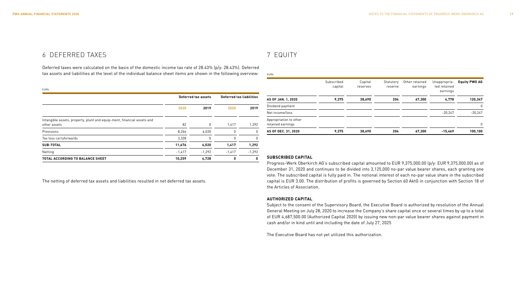### 6 DEFERRED TAXES

Deferred taxes were calculated on the basis of the domestic income tax rate of 28.43% (p/y: 28.43%). Deferred tax assets and liabilities at the level of the individual balance sheet items are shown in the following overview:

| EURk                                                                                    |          | Deferred tax assets | <b>Deferred tax liabilities</b> |          |
|-----------------------------------------------------------------------------------------|----------|---------------------|---------------------------------|----------|
|                                                                                         | 2020     | 2019                | 2020                            | 2019     |
| Intangible assets, property, plant and equip-ment, financial assets and<br>other assets | 82       | 0                   | 1,417                           | 1.292    |
| Provisions                                                                              | 8,266    | 6,020               | 0                               | 0        |
| Tax loss carryforwards                                                                  | 3,328    | 0                   | 0                               | 0        |
| SUB-TOTAL                                                                               | 11,676   | 6,020               | 1,417                           | 1,292    |
| Netting                                                                                 | $-1,417$ | $-1,292$            | $-1,417$                        | $-1,292$ |
| <b>TOTAL ACCORDING TO BALANCE SHEET</b>                                                 | 10,259   | 4,728               | 0                               | 0        |

The netting of deferred tax assets and liabilities resulted in net deferred tax assets.

### 7 EQUITY

EURk

|                                             | Subscribed<br>capital | Capital<br>reserves | Statutory<br>reserve | Other retained<br>earnings | Unappropria-<br>ted retained<br>earnings | <b>Equity PWO AG</b> |
|---------------------------------------------|-----------------------|---------------------|----------------------|----------------------------|------------------------------------------|----------------------|
| AS OF JAN. 1, 2020                          | 9,375                 | 38,690              | 204                  | 67,300                     | 4,778                                    | 120,347              |
| Dividend payment                            |                       |                     |                      |                            |                                          | 0                    |
| Net income/loss                             |                       |                     |                      |                            | $-20.247$                                | $-20,247$            |
| Appropriation to other<br>retained earnings |                       |                     |                      |                            |                                          | 0                    |
| AS OF DEC. 31, 2020                         | 9.375                 | 38.690              | 204                  | 67.300                     | $-15.469$                                | 100.100              |

#### **SUBSCRIBED CAPITAL**

Progress-Werk Oberkirch AG's subscribed capital amounted to EUR 9,375,000.00 (p/y: EUR 9,375,000.00) as of December 31, 2020 and continues to be divided into 3,125,000 no-par value bearer shares, each granting one vote. The subscribed capital is fully paid in. The notional interest of each no-par value share in the subscribed capital is EUR 3.00. The distribution of profits is governed by Section 60 AktG in conjunction with Section 18 of the Articles of Association.

#### **AUTHORIZED CAPITAL**

Subject to the consent of the Supervisory Board, the Executive Board is authorized by resolution of the Annual General Meeting on July 28, 2020 to increase the Company's share capital once or several times by up to a total of EUR 4,687,500.00 (Authorized Capital 2020) by issuing new non-par value bearer shares against payment in cash and/or in kind until and including the date of July 27, 2025

The Executive Board has not yet utilized this authorization.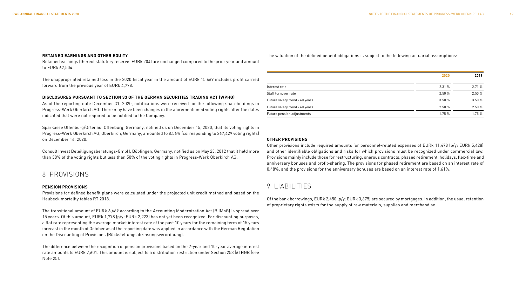#### **RETAINED EARNINGS AND OTHER EQUITY**

Retained earnings (thereof statutory reserve: EURk 204) are unchanged compared to the prior year and amount to EURk 67,504.

The unappropriated retained loss in the 2020 fiscal year in the amount of EURk 15,469 includes profit carried forward from the previous year of EURk 4,778.

#### **DISCLOSURES PURSUANT TO SECTION 33 OF THE GERMAN SECURITIES TRADING ACT (WPHG)**

As of the reporting date December 31, 2020, notifications were received for the following shareholdings in Progress-Werk Oberkirch AG. There may have been changes in the aforementioned voting rights after the dates indicated that were not required to be notified to the Company.

Sparkasse Offenburg/Ortenau, Offenburg, Germany, notified us on December 15, 2020, that its voting rights in Progress-Werk Oberkirch AG, Oberkirch, Germany, amounted to 8.56% (corresponding to 267,429 voting rights) on December 14, 2020.

Consult Invest Beteiligungsberatungs-GmbH, Böblingen, Germany, notified us on May 23, 2012 that it held more than 30% of the voting rights but less than 50% of the voting rights in Progress-Werk Oberkirch AG.

### 8 PROVISIONS

#### **PENSION PROVISIONS**

Provisions for defined benefit plans were calculated under the projected unit credit method and based on the Heubeck mortality tables RT 2018.

The transitional amount of EURk 6,669 according to the Accounting Modernization Act (BilMoG) is spread over 15 years. Of this amount, EURk 1,778 (p/y: EURk 2,223) has not yet been recognized. For discounting purposes, a flat rate representing the average market interest rate of the past 10 years for the remaining term of 15 years forecast in the month of October as of the reporting date was applied in accordance with the German Regulation on the Discounting of Provisions (Rückstellungsabzinsungsverordnung).

The difference between the recognition of pension provisions based on the 7-year and 10-year average interest rate amounts to EURk 7,601. This amount is subject to a distribution restriction under Section 253 (6) HGB (see Note 25).

The valuation of the defined benefit obligations is subject to the following actuarial assumptions:

|                                | 2020   |        |
|--------------------------------|--------|--------|
|                                |        |        |
| Interest rate                  | 2.31%  | 2.71%  |
| Staff turnover rate            | 2.50%  | 2.50 % |
| Future salary trend < 40 years | 3.50%  | 3.50%  |
| Future salary trend > 40 years | 2.50%  | 2.50%  |
| Future pension adjustments     | 1.75 % | 1.75 % |

#### **OTHER PROVISIONS**

Other provisions include required amounts for personnel-related expenses of EURk 11,478 (p/y: EURk 5,428) and other identifiable obligations and risks for which provisions must be recognized under commercial law. Provisions mainly include those for restructuring, onerous contracts, phased retirement, holidays, flex-time and anniversary bonuses and profit-sharing. The provisions for phased retirement are based on an interest rate of 0.48%, and the provisions for the anniversary bonuses are based on an interest rate of 1.61%.

### 9 LIABILITIES

Of the bank borrowings, EURk 2,450 (p/y: EURk 3,675) are secured by mortgages. In addition, the usual retention of proprietary rights exists for the supply of raw materials, supplies and merchandise.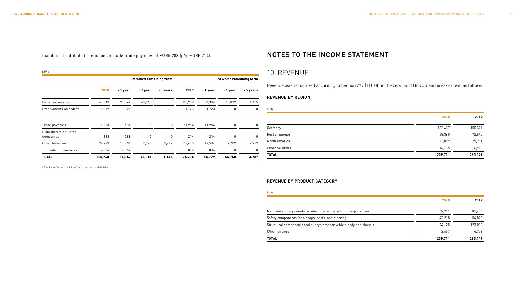EURk

Liabilities to affiliated companies include trade payables of EURk 288 (p/y: EURk 214).

### NOTES TO THE INCOME STATEMENT

### **of which remaining term of which remaining term 2020 ‹ 1 year › 1 year › 5 years 2019 ‹ 1 year › 1 year › 5 years** Bank borrowings 69,819 29,574 40,245 0 88,908 24,384 63,039 1,485 Prepayments on orders  $1,079$  1,079 0 0 1,723 1,723 0 0  $EU$  $\overline{\phantom{0}}$ Trade payables 11,633 11,633 0 0 11,954 11,954 0 0 Liabilities to affiliated companies 288 288 0 0 214 214 0 0 Other liabilities <sup>1</sup> 22,929 18,740 2,770 1,419 22,435 17,504 2,709 2,222

of which from taxes  $2.064$   $2.064$  0 0 886 886 0 0 0 **TOTAL 105,748 61,314 43,015 1,419 125,234 55,779 65,748 3,707**

## 10 REVENUE

Revenue was recognized according to Section 277 (1) HGB in the version of BilRUG and breaks down as follows:

#### **REVENUE BY REGION**

| <b>LURK</b>     |         |         |
|-----------------|---------|---------|
|                 | 2020    | 2019    |
| Germany         | 122,637 | 150,397 |
| Rest of Europe  | 48,860  | 72,545  |
| North America   | 23,099  | 25,291  |
| Other countries | 14,115  | 16,916  |
| <b>TOTAL</b>    | 209,711 | 265,149 |

<sup>1</sup> The item "Other liabilities" includes lease liabilities.

#### **REVENUE BY PRODUCT CATEGORY**

| EURk                                                              |         |         |
|-------------------------------------------------------------------|---------|---------|
|                                                                   | 2020    | 2019    |
| Mechanical components for electrical and electronic applications  | 69,711  | 82.496  |
| Safety components for airbags, seats, and steering                | 42.218  | 54,820  |
| Structural components and subsystems for vehicle body and chassis | 94.125  | 123.080 |
| Other revenue                                                     | 3.657   | 4.753   |
| <b>TOTAL</b>                                                      | 209,711 | 265.149 |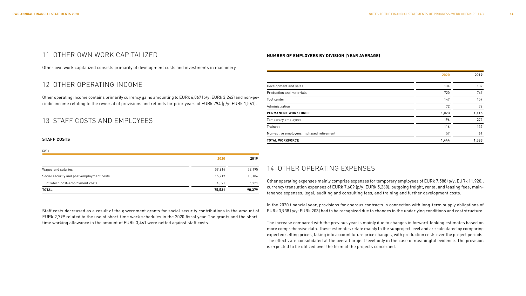### 11 OTHER OWN WORK CAPITALIZED

Other own work capitalized consists primarily of development costs and investments in machinery.

### 12 OTHER OPERATING INCOME

Other operating income contains primarily currency gains amounting to EURk 6,067 (p/y: EURk 3,242) and non-periodic income relating to the reversal of provisions and refunds for prior years of EURk 794 (p/y: EURk 1,561).

### 13 STAFF COSTS AND EMPLOYEES

#### **STAFF COSTS**

| <b>EURk</b>                               |        |        |
|-------------------------------------------|--------|--------|
|                                           | 2020   | 2019   |
| Wages and salaries                        | 59.814 | 72.195 |
| Social security and post-employment costs | 15.717 | 18,184 |
| of which post-employment costs            | 4.891  | 5,221  |
| <b>TOTAL</b>                              | 75,531 | 90,379 |

Staff costs decreased as a result of the government grants for social security contributions in the amount of EURk 2,799 related to the use of short-time work schedules in the 2020 fiscal year. The grants and the shorttime working allowance in the amount of EURk 3,461 were netted against staff costs.

#### **NUMBER OF EMPLOYEES BY DIVISION (YEAR AVERAGE)**

|                                           | 2020  | 2019  |
|-------------------------------------------|-------|-------|
| Development and sales                     | 134   | 137   |
| Production and materials                  | 720   | 747   |
| Tool center                               | 147   | 159   |
| Administration                            | 72    | 72    |
| <b>PERMANENT WORKFORCE</b>                | 1,073 | 1,115 |
| Temporary employees                       | 196   | 275   |
| <b>Trainees</b>                           | 116   | 132   |
| Non-active employees in phased retirement | 59    | 61    |
| <b>TOTAL WORKFORCE</b>                    | 1,444 | 1,583 |

### 14 OTHER OPERATING EXPENSES

Other operating expenses mainly comprise expenses for temporary employees of EURk 7,588 (p/y: EURk 11,920), currency translation expenses of EURk 7,609 (p/y: EURk 5,260), outgoing freight, rental and leasing fees, maintenance expenses, legal, auditing and consulting fees, and training and further development costs.

In the 2020 financial year, provisions for onerous contracts in connection with long-term supply obligations of EURk 3,938 (p/y: EURk 203) had to be recognized due to changes in the underlying conditions and cost structure.

The increase compared with the previous year is mainly due to changes in forward-looking estimates based on more comprehensive data. These estimates relate mainly to the subproject level and are calculated by comparing expected selling prices, taking into account future price changes, with production costs over the project periods. The effects are consolidated at the overall project level only in the case of meaningful evidence. The provision is expected to be utilized over the term of the projects concerned.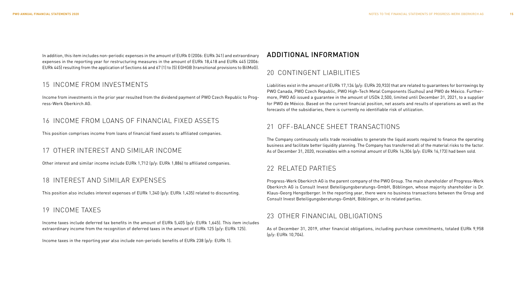In addition, this item includes non-periodic expenses in the amount of EURk 0 (2006: EURk 341) and extraordinary expenses in the reporting year for restructuring measures in the amount of EURk 18,418 and EURk 445 (2006: EURk 445) resulting from the application of Sections 66 and 67 (1) to (5) EGHGB (transitional provisions to BilMoG).

### 15 INCOME FROM INVESTMENTS

Income from investments in the prior year resulted from the dividend payment of PWO Czech Republic to Progress-Werk Oberkirch AG.

### 16 INCOME FROM LOANS OF FINANCIAL FIXED ASSETS

This position comprises income from loans of financial fixed assets to affiliated companies.

### 17 OTHER INTEREST AND SIMILAR INCOME

Other interest and similar income include EURk 1,712 (p/y: EURk 1,886) to affiliated companies.

### 18 INTEREST AND SIMILAR EXPENSES

This position also includes interest expenses of EURk 1,340 (p/y: EURk 1,435) related to discounting.

### 19 INCOME TAXES

Income taxes include deferred tax benefits in the amount of EURk 5,405 (p/y: EURk 1,645). This item includes extraordinary income from the recognition of deferred taxes in the amount of EURk 125 (p/y: EURk 125).

Income taxes in the reporting year also include non-periodic benefits of EURk 238 (p/y: EURk 1).

### ADDITIONAL INFORMATION

### 20 CONTINGENT LIABILITIES

Liabilities exist in the amount of EURk 17,134 (p/y: EURk 20,933) that are related to quarantees for borrowings by PWO Canada, PWO Czech Republic, PWO High-Tech Metal Components (Suzhou) and PWO de México. Furthermore, PWO AG issued a guarantee in the amount of USDk 2,500, limited until December 31, 2021, to a supplier for PWO de México. Based on the current financial position, net assets and results of operations as well as the forecasts of the subsidiaries, there is currently no identifiable risk of utilization.

### 21 OFF-BALANCE SHEET TRANSACTIONS

The Company continuously sells trade receivables to generate the liquid assets required to finance the operating business and facilitate better liquidity planning. The Company has transferred all of the material risks to the factor. As of December 31, 2020, receivables with a nominal amount of EURk 14,304 (p/y: EURk 16,173) had been sold.

### 22 RELATED PARTIES

Progress-Werk Oberkirch AG is the parent company of the PWO Group. The main shareholder of Progress-Werk Oberkirch AG is Consult Invest Beteiligungsberatungs-GmbH, Böblingen, whose majority shareholder is Dr. Klaus-Georg Hengstberger. In the reporting year, there were no business transactions between the Group and Consult Invest Beteiligungsberatungs-GmbH, Böblingen, or its related parties.

### 23 OTHER FINANCIAL OBLIGATIONS

As of December 31, 2019, other financial obligations, including purchase commitments, totaled EURk 9,958 (p/y: EURk 10,704).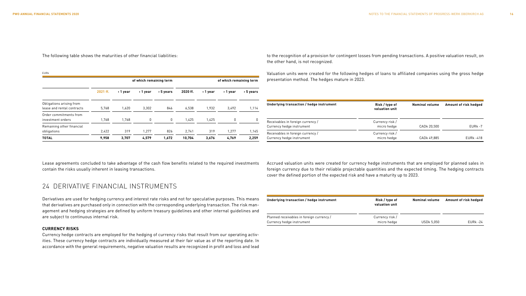The following table shows the maturities of other financial liabilities:

| <b>EURk</b>                                            |                         |         |          |             |          |                         |          |             |
|--------------------------------------------------------|-------------------------|---------|----------|-------------|----------|-------------------------|----------|-------------|
|                                                        | of which remaining term |         |          |             |          | of which remaining term |          |             |
|                                                        | 2021 ff.                | ∢1 year | > 1 year | $>$ 5 years | 2020 ff. | ∢1 year                 | > 1 year | $> 5$ years |
| Obligations arising from<br>lease and rental contracts | 5.768                   | 1,620   | 3.302    | 846         | 6.538    | 1.932                   | 3.492    | 1,114       |
| Order commitments from<br>investment orders            | 1.768                   | 1,768   | 0        | 0           | 1,425    | 1,425                   | 0        | 0           |
| Remaining other financial<br>obligations               | 2,422                   | 319     | 1.277    | 826         | 2.741    | 319                     | 1.277    | 1,145       |
| <b>TOTAL</b>                                           | 9.958                   | 3,707   | 4,579    | 1,672       | 10,704   | 3,676                   | 4,769    | 2,259       |

Lease agreements concluded to take advantage of the cash flow benefits related to the required investments contain the risks usually inherent in leasing transactions.

### 24 DERIVATIVE FINANCIAL INSTRUMENTS

Derivatives are used for hedging currency and interest rate risks and not for speculative purposes. This means that derivatives are purchased only in connection with the corresponding underlying transaction. The risk management and hedging strategies are defined by uniform treasury guidelines and other internal guidelines and are subject to continuous internal risk.

#### **CURRENCY RISKS**

Currency hedge contracts are employed for the hedging of currency risks that result from our operating activities. These currency hedge contracts are individually measured at their fair value as of the reporting date. In accordance with the general requirements, negative valuation results are recognized in profit and loss and lead to the recognition of a provision for contingent losses from pending transactions. A positive valuation result, on the other hand, is not recognized.

Valuation units were created for the following hedges of loans to affiliated companies using the gross hedge presentation method. The hedges mature in 2023.

| Underlying transaction / hedge instrument                      | Risk / type of<br>valuation unit | <b>Nominal volume</b> | Amount of risk hedged |
|----------------------------------------------------------------|----------------------------------|-----------------------|-----------------------|
| Receivables in foreign currency /<br>Currency hedge instrument | Currency risk /<br>micro hedge   | CADk 20.500           | $EURk - 7$            |
| Receivables in foreign currency /<br>Currency hedge instrument | Currency risk /<br>micro hedge   | CADk 49.885           | <b>EURk -418</b>      |

Accrued valuation units were created for currency hedge instruments that are employed for planned sales in foreign currency due to their reliable projectable quantities and the expected timing. The hedging contracts cover the defined portion of the expected risk and have a maturity up to 2023.

| Underlying transaction / hedge instrument | Risk / type of<br>valuation unit | <b>Nominal volume</b> | Amount of risk hedged |
|-------------------------------------------|----------------------------------|-----------------------|-----------------------|
| Planned receivables in foreign currency / | Currency risk /                  |                       |                       |
| Currency hedge instrument                 | micro hedge                      | <b>USDk 5.050</b>     | EURk -24              |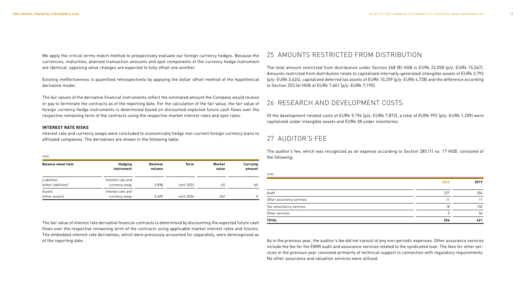We apply the critical terms match method to prospectively evaluate our foreign currency hedges. Because the currencies, maturities, planned transaction amounts and spot components of the currency hedge instrument are identical, opposing value changes are expected to fully offset one another.

Existing ineffectiveness is quantified retrospectively by applying the dollar offset method of the hypothetical derivative model.

The fair values of the derivative financial instruments reflect the estimated amount the Company would receive or pay to terminate the contracts as of the reporting date. For the calculation of the fair value, the fair value of foreign currency hedge instruments is determined based on discounted expected future cash flows over the respective remaining term of the contracts using the respective market interest rates and spot rates.

#### **INTEREST RATE RISKS**

Interest rate and currency swaps were concluded to economically hedge non-current foreign currency loans to affiliated companies. The derivatives are shown in the following table:

#### EURk

| <b>Balance sheet item</b>          | Hedging<br>instrument              | <b>Nominal</b><br>volume | <b>Term</b> | Market<br>value | Carrying<br>amount |
|------------------------------------|------------------------------------|--------------------------|-------------|-----------------|--------------------|
| Liabilities<br>(other liabilities) | Interest rate and<br>currency swap | 3.838                    | until 2023  | -65             | -65                |
| Assets<br>(other assets)           | Interest rate and<br>currency swap | 5.409                    | until 2024  | 342             | 0                  |

The fair value of interest rate derivative financial contracts is determined by discounting the expected future cash flows over the respective remaining term of the contracts using applicable market interest rates and futures. The embedded interest rate derivatives, which were previously accounted for separately, were derecognized as of the reporting date.

### 25 AMOUNTS RESTRICTED FROM DISTRIBUTION

The total amount restricted from distribution under Section 268 (8) HGB is EURk 22,058 (p/y: EURk 15,547). Amounts restricted from distribution relate to capitalized internally-generated intangible assets of EURk 3,792 (p/y: EURk 3,624), capitalized deferred tax assets of EURk 10,259 (p/y: EURk 4,728) and the difference according to Section 253 (6) HGB of EURk 7,601 (p/y: EURk 7,195).

### 26 RESEARCH AND DEVELOPMENT COSTS

Of the development-related costs of EURk 9,194 (p/y: EURk 7,872), a total of EURk 992 (p/y: EURk 1,209) were capitalized under intangible assets and EURk 38 under inventories.

### 27 AUDITOR'S FEE

The auditor's fee, which was recognized as an expense according to Section 285 (1) no. 17 HGB, consisted of the following:

| <b>EURk</b>              |      |      |
|--------------------------|------|------|
|                          | 2020 | 2019 |
| Audit                    | 227  | 204  |
| Other assurance services | 11   | 11   |
| Tax consultancy services | 18   | 150  |
| Other services           | U    | 56   |
| <b>TOTAL</b>             | 256  | 421  |

As in the previous year, the auditor's fee did not consist of any non-periodic expenses. Other assurance services include the fee for the EMIR audit and assurance services related to the syndicated loan. The fees for other services in the previous year consisted primarily of technical support in connection with regulatory requirements. No other assurance and valuation services were utilized.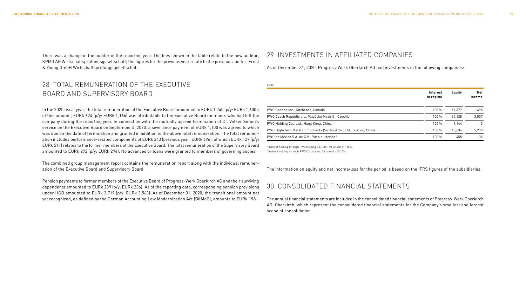There was a change in the auditor in the reporting year. The fees shown in the table relate to the new auditor, KPMG AG Wirtschaftsprüfungsgesellschaft; the figures for the previous year relate to the previous auditor, Ernst & Young GmbH Wirtschaftsprüfungsgesellschaft.

### 29 INVESTMENTS IN AFFILIATED COMPANIES

As of December 31, 2020, Progress-Werk Oberkirch AG had investments in the following companies:

### 28 TOTAL REMUNERATION OF THE EXECUTIVE BOARD AND SUPERVISORY BOARD

In the 2020 fiscal year, the total remuneration of the Executive Board amounted to EURk 1,240 (p/y: EURk 1,600); of this amount, EURk 624 (p/y: EURk 1,166) was attributable to the Executive Board members who had left the company during the reporting year. In connection with the mutually agreed termination of Dr. Volker Simon's service on the Executive Board on September 4, 2020, a severance payment of EURk 1,100 was agreed to which was due on the date of termination and granted in addition to the above total remuneration. The total remuneration includes performance-related components of EURk 343 (previous year: EURk 696), of which EURk 127 (p/y: EURk 511) relates to the former members of the Executive Board. The total remuneration of the Supervisory Board amounted to EURk 292 (p/y: EURk 294). No advances or loans were granted to members of governing bodies.

The combined group management report contains the remuneration report along with the individual remuneration of the Executive Board and Supervisory Board.

Pension payments to former members of the Executive Board of Progress-Werk Oberkirch AG and their surviving dependents amounted to EURk 239 (p/y: EURk 236). As of the reporting date, corresponding pension provisions under HGB amounted to EURk 3,719 (p/y: EURk 3,563). As of December 31, 2020, the transitional amount not yet recognized, as defined by the German Accounting Law Modernization Act (BilMoG), amounts to EURk 198.

| EURk                                                                          |                        |               |               |
|-------------------------------------------------------------------------------|------------------------|---------------|---------------|
|                                                                               | Interest<br>in capital | <b>Equity</b> | Net<br>income |
| PWO Canada Inc., Kitchener, Canada                                            | 100 %                  | 11.377        | -696          |
| PWO Czech Republic a.s., Valašské Meziříčí, Czechia                           | 100%                   | 34,138        | 3,007         |
| PWO Holding Co., Ltd., Hong Kong, China                                       | 100 %                  | $-1.144$      | $-5$          |
| PWO High-Tech Metal Components (Suzhou) Co., Ltd., Suzhou, China <sup>1</sup> | 100%                   | 15,634        | 5.298         |
| PWO de México S.A. de C.V., Puebla, Mexico <sup>2</sup>                       | 100 %                  | 458           | $-136$        |

1 Indirect holding through PWO Holding Co., Ltd., for a total of 100%.

2 Indirect holding through PWO Canada Inc. for a total of 0.15%.

The information on equity and net income/loss for the period is based on the IFRS figures of the subsidiaries.

### 30 CONSOLIDATED FINANCIAL STATEMENTS

The annual financial statements are included in the consolidated financial statements of Progress-Werk Oberkirch AG, Oberkirch, which represent the consolidated financial statements for the Company's smallest and largest scope of consolidation.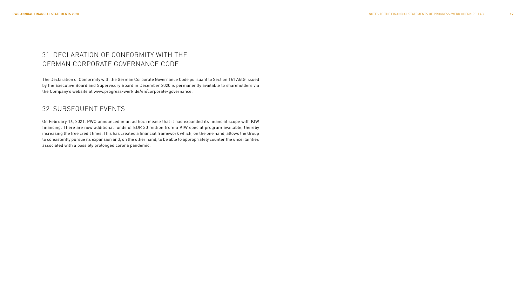### 31 DECLARATION OF CONFORMITY WITH THE GERMAN CORPORATE GOVERNANCE CODE

The Declaration of Conformity with the German Corporate Governance Code pursuant to Section 161 AktG issued by the Executive Board and Supervisory Board in December 2020 is permanently available to shareholders via the Company's website at www.progress-werk.de/en/corporate-governance.

### 32 SUBSEQUENT EVENTS

On February 16, 2021, PWO announced in an ad hoc release that it had expanded its financial scope with KfW financing. There are now additional funds of EUR 30 million from a KfW special program available, thereby increasing the free credit lines. This has created a financial framework which, on the one hand, allows the Group to consistently pursue its expansion and, on the other hand, to be able to appropriately counter the uncertainties associated with a possibly prolonged corona pandemic.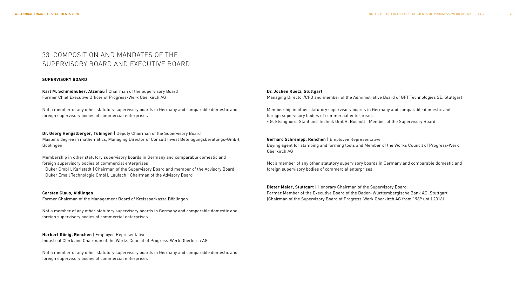### 33 COMPOSITION AND MANDATES OF THE SUPERVISORY BOARD AND EXECUTIVE BOARD

#### **SUPERVISORY BOARD**

**Karl M. Schmidhuber, Alzenau** | Chairman of the Supervisory Board Former Chief Executive Officer of Progress-Werk Oberkirch AG

Not a member of any other statutory supervisory boards in Germany and comparable domestic and foreign supervisory bodies of commercial enterprises

**Dr. Georg Hengstberger, Tübingen** | Deputy Chairman of the Supervisory Board Master's degree in mathematics, Managing Director of Consult Invest Beteiligungsberatungs-GmbH, Böblingen

Membership in other statutory supervisory boards in Germany and comparable domestic and foreign supervisory bodies of commercial enterprises

- Düker GmbH, Karlstadt | Chairman of the Supervisory Board and member of the Advisory Board - Düker Email Technologie GmbH, Laufach | Chairman of the Advisory Board

**Carsten Claus, Aidlingen** Former Chairman of the Management Board of Kreissparkasse Böblingen

Not a member of any other statutory supervisory boards in Germany and comparable domestic and foreign supervisory bodies of commercial enterprises

**Herbert König, Renchen** | Employee Representative Industrial Clerk and Chairman of the Works Council of Progress-Werk Oberkirch AG

Not a member of any other statutory supervisory boards in Germany and comparable domestic and foreign supervisory bodies of commercial enterprises

#### **Dr. Jochen Ruetz, Stuttgart**

Managing Director/CFO and member of the Administrative Board of GFT Technologies SE, Stuttgart

Membership in other statutory supervisory boards in Germany and comparable domestic and foreign supervisory bodies of commercial enterprises

- G. Elsinghorst Stahl und Technik GmbH, Bocholt | Member of the Supervisory Board

#### **Gerhard Schrempp, Renchen** | Employee Representative

Buying agent for stamping and forming tools and Member of the Works Council of Progress-Werk Oberkirch AG

Not a member of any other statutory supervisory boards in Germany and comparable domestic and foreign supervisory bodies of commercial enterprises

**Dieter Maier, Stuttgart** | Honorary Chairman of the Supervisory Board Former Member of the Executive Board of the Baden-Württembergische Bank AG, Stuttgart (Chairman of the Supervisory Board of Progress-Werk Oberkirch AG from 1989 until 2016)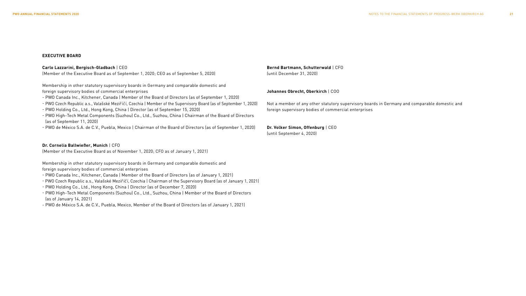#### **EXECUTIVE BOARD**

#### **Carlo Lazzarini, Bergisch-Gladbach** | CEO

(Member of the Executive Board as of September 1, 2020; CEO as of September 5, 2020)

Membership in other statutory supervisory boards in Germany and comparable domestic and foreign supervisory bodies of commercial enterprises

- PWO Canada Inc., Kitchener, Canada | Member of the Board of Directors (as of September 1, 2020)
- PWO Czech Republic a.s., Valašské Mezirˇícˇí, Czechia | Member of the Supervisory Board (as of September 1, 2020)
- PWO Holding Co., Ltd., Hong Kong, China | Director (as of September 15, 2020)
- PWO High-Tech Metal Components (Suzhou) Co., Ltd., Suzhou, China | Chairman of the Board of Directors (as of September 11, 2020)
- PWO de México S.A. de C.V., Puebla, Mexico | Chairman of the Board of Directors (as of September 1, 2020)

#### **Dr. Cornelia Ballwießer, Munich** | CFO

(Member of the Executive Board as of November 1, 2020; CFO as of January 1, 2021)

Membership in other statutory supervisory boards in Germany and comparable domestic and foreign supervisory bodies of commercial enterprises

- PWO Canada Inc., Kitchener, Canada | Member of the Board of Directors (as of January 1, 2021)
- PWO Czech Republic a.s., Valašské Mezirˇícˇí, Czechia | Chairman of the Supervisory Board (as of January 1, 2021)
- PWO Holding Co., Ltd., Hong Kong, China | Director (as of December 7, 2020)
- PWO High-Tech Metal Components (Suzhou) Co., Ltd., Suzhou, China | Member of the Board of Directors (as of January 14, 2021)
- PWO de México S.A. de C.V., Puebla, Mexico, Member of the Board of Directors (as of January 1, 2021)

#### **Bernd Bartmann, Schutterwald** | CFO (until December 31, 2020)

#### **Johannes Obrecht, Oberkirch** | COO

Not a member of any other statutory supervisory boards in Germany and comparable domestic and foreign supervisory bodies of commercial enterprises

#### **Dr. Volker Simon, Offenburg** | CEO

(until September 4, 2020)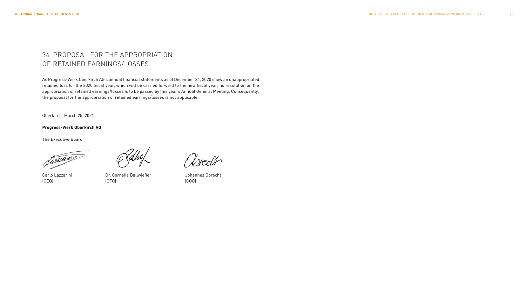### 34 PROPOSAL FOR THE APPROPRIATION OF RETAINED EARNINGS/LOSSES

As Progress-Werk Oberkirch AG's annual financial statements as of December 31, 2020 show an unappropriated retained loss for the 2020 fiscal year, which will be carried forward to the new fiscal year, no resolution on the appropriation of retained earnings/losses is to be passed by this year's Annual General Meeting. Consequently, the proposal for the appropriation of retained earnings/losses is not applicable.

Oberkirch, March 25, 2021

#### **Progress-Werk Oberkirch AG**

The Executive Board

Januarie

(CEO) (CFO) (COO)

Carlo Lazzarini Dr. Cornelia Ballwießer Johannes Obrecht

Steckto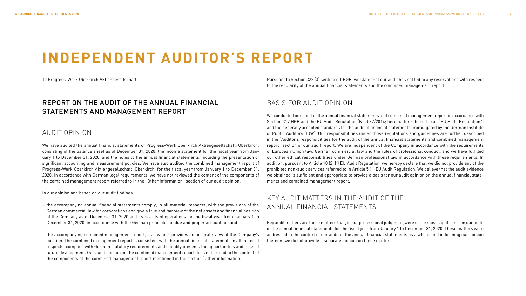## **INDEPENDENT AUDITOR'S REPORT**

To Progress-Werk Oberkirch Aktiengesellschaft

### REPORT ON THE AUDIT OF THE ANNUAL FINANCIAL STATEMENTS AND MANAGEMENT REPORT

#### AUDIT OPINION

We have audited the annual financial statements of Progress-Werk Oberkirch Aktiengesellschaft, Oberkirch, consisting of the balance sheet as of December 31, 2020, the income statement for the fiscal year from January 1 to December 31, 2020, and the notes to the annual financial statements, including the presentation of significant accounting and measurement policies. We have also audited the combined management report of Progress-Werk Oberkirch Aktiengesellschaft, Oberkirch, for the fiscal year from January 1 to December 31, 2020. In accordance with German legal requirements, we have not reviewed the content of the components of the combined management report referred to in the "Other information" section of our audit opinion.

#### In our opinion and based on our audit findings

- the accompanying annual financial statements comply, in all material respects, with the provisions of the German commercial law for corporations and give a true and fair view of the net assets and financial position of the Company as of December 31, 2020 and its results of operations for the fiscal year from January 1 to December 31, 2020, in accordance with the German principles of due and proper accounting; and
- the accompanying combined management report, as a whole, provides an accurate view of the Company's position. The combined management report is consistent with the annual financial statements in all material respects, complies with German statutory requirements and suitably presents the opportunities and risks of future development. Our audit opinion on the combined management report does not extend to the content of the components of the combined management report mentioned in the section "Other information."

Pursuant to Section 322 (3) sentence 1 HGB, we state that our audit has not led to any reservations with respect to the regularity of the annual financial statements and the combined management report.

### BASIS FOR AUDIT OPINION

We conducted our audit of the annual financial statements and combined management report in accordance with Section 317 HGB and the EU Audit Regulation (No. 537/2014; hereinafter referred to as "EU Audit Regulation") and the generally accepted standards for the audit of financial statements promulgated by the German Institute of Public Auditors (IDW). Our responsibilities under those regulations and guidelines are further described in the "Auditor's responsibilities for the audit of the annual financial statements and combined management report" section of our audit report. We are independent of the Company in accordance with the requirements of European Union law, German commercial law and the rules of professional conduct, and we have fulfilled our other ethical responsibilities under German professional law in accordance with these requirements. In addition, pursuant to Article 10 (2) (f) EU Audit Regulation, we hereby declare that we did not provide any of the prohibited non-audit services referred to in Article 5 (1) EU Audit Regulation. We believe that the audit evidence we obtained is sufficient and appropriate to provide a basis for our audit opinion on the annual financial statements and combined management report.

### KEY AUDIT MATTERS IN THE AUDIT OF THE ANNUAL FINANCIAL STATEMENTS

Key audit matters are those matters that, in our professional judgment, were of the most significance in our audit of the annual financial statements for the fiscal year from January 1 to December 31, 2020. These matters were addressed in the context of our audit of the annual financial statements as a whole, and in forming our opinion thereon; we do not provide a separate opinion on these matters.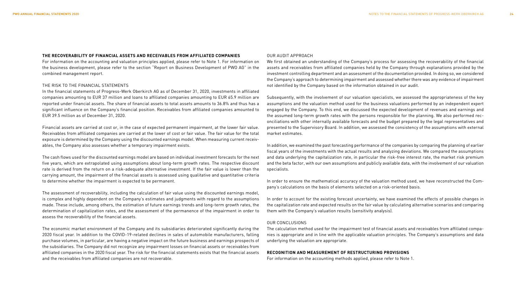#### **THE RECOVERABILITY OF FINANCIAL ASSETS AND RECEIVABLES FROM AFFILIATED COMPANIES**

For information on the accounting and valuation principles applied, please refer to Note 1. For information on the business development, please refer to the section "Report on Business Development of PWO AG" in the combined management report.

#### THE RISK TO THE FINANCIAL STATEMENTS

In the financial statements of Progress-Werk Oberkirch AG as of December 31, 2020, investments in affiliated companies amounting to EUR 37 million and loans to affiliated companies amounting to EUR 65.9 million are reported under financial assets. The share of financial assets to total assets amounts to 36.8% and thus has a significant influence on the Company's financial position. Receivables from affiliated companies amounted to EUR 39.5 million as of December 31, 2020.

Financial assets are carried at cost or, in the case of expected permanent impairment, at the lower fair value. Receivables from affiliated companies are carried at the lower of cost or fair value. The fair value for the total exposure is determined by the Company using the discounted earnings model. When measuring current receivables, the Company also assesses whether a temporary impairment exists.

The cash flows used for the discounted earnings model are based on individual investment forecasts for the next five years, which are extrapolated using assumptions about long-term growth rates. The respective discount rate is derived from the return on a risk-adequate alternative investment. If the fair value is lower than the carrying amount, the impairment of the financial assets is assessed using qualitative and quantitative criteria to determine whether the impairment is expected to be permanent.

The assessment of recoverability, including the calculation of fair value using the discounted earnings model, is complex and highly dependent on the Company's estimates and judgments with regard to the assumptions made. These include, among others, the estimation of future earnings trends and long-term growth rates, the determination of capitalization rates, and the assessment of the permanence of the impairment in order to assess the recoverability of the financial assets.

The economic market environment of the Company and its subsidiaries deteriorated significantly during the 2020 fiscal year. In addition to the COVID-19-related declines in sales of automobile manufacturers, falling purchase volumes, in particular, are having a negative impact on the future business and earnings prospects of the subsidiaries. The Company did not recognize any impairment losses on financial assets or receivables from affiliated companies in the 2020 fiscal year. The risk for the financial statements exists that the financial assets and the receivables from affiliated companies are not recoverable.

#### OUR AUDIT APPROACH

We first obtained an understanding of the Company's process for assessing the recoverability of the financial assets and receivables from affiliated companies held by the Company through explanations provided by the investment controlling department and an assessment of the documentation provided. In doing so, we considered the Company's approach to determining impairment and assessed whether there was any evidence of impairment not identified by the Company based on the information obtained in our audit.

Subsequently, with the involvement of our valuation specialists, we assessed the appropriateness of the key assumptions and the valuation method used for the business valuations performed by an independent expert engaged by the Company. To this end, we discussed the expected development of revenues and earnings and the assumed long-term growth rates with the persons responsible for the planning. We also performed reconciliations with other internally available forecasts and the budget prepared by the legal representatives and presented to the Supervisory Board. In addition, we assessed the consistency of the assumptions with external market estimates.

In addition, we examined the past forecasting performance of the companies by comparing the planning of earlier fiscal years of the investments with the actual results and analyzing deviations. We compared the assumptions and data underlying the capitalization rate, in particular the risk-free interest rate, the market risk premium and the beta factor, with our own assumptions and publicly available data, with the involvement of our valuation specialists.

In order to ensure the mathematical accuracy of the valuation method used, we have reconstructed the Company's calculations on the basis of elements selected on a risk-oriented basis.

In order to account for the existing forecast uncertainty, we have examined the effects of possible changes in the capitalization rate and expected results on the fair value by calculating alternative scenarios and comparing them with the Company's valuation results (sensitivity analysis).

#### OUR CONCLUSIONS

The calculation method used for the impairment test of financial assets and receivables from affiliated companies is appropriate and in line with the applicable valuation principles. The Company's assumptions and data underlying the valuation are appropriate.

#### **RECOGNITION AND MEASUREMENT OF RESTRUCTURING PROVISIONS**

For information on the accounting methods applied, please refer to Note 1.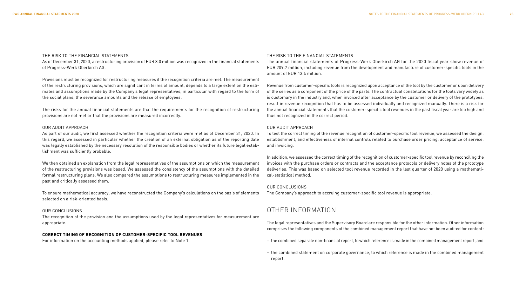#### THE RISK TO THE FINANCIAL STATEMENTS

As of December 31, 2020, a restructuring provision of EUR 8.0 million was recognized in the financial statements of Progress-Werk Oberkirch AG.

Provisions must be recognized for restructuring measures if the recognition criteria are met. The measurement of the restructuring provisions, which are significant in terms of amount, depends to a large extent on the estimates and assumptions made by the Company's legal representatives, in particular with regard to the form of the social plans, the severance amounts and the release of employees.

The risks for the annual financial statements are that the requirements for the recognition of restructuring provisions are not met or that the provisions are measured incorrectly.

#### OUR AUDIT APPROACH

As part of our audit, we first assessed whether the recognition criteria were met as of December 31, 2020. In this regard, we assessed in particular whether the creation of an external obligation as of the reporting date was legally established by the necessary resolution of the responsible bodies or whether its future legal establishment was sufficiently probable.

We then obtained an explanation from the legal representatives of the assumptions on which the measurement of the restructuring provisions was based. We assessed the consistency of the assumptions with the detailed formal restructuring plans. We also compared the assumptions to restructuring measures implemented in the past and critically assessed them.

To ensure mathematical accuracy, we have reconstructed the Company's calculations on the basis of elements selected on a risk-oriented basis.

#### OUR CONCLUSIONS

The recognition of the provision and the assumptions used by the legal representatives for measurement are appropriate.

#### **CORRECT TIMING OF RECOGNITION OF CUSTOMER-SPECIFIC TOOL REVENUES**

For information on the accounting methods applied, please refer to Note 1.

#### THE RISK TO THE FINANCIAL STATEMENTS

The annual financial statements of Progress-Werk Oberkirch AG for the 2020 fiscal year show revenue of EUR 209.7 million, including revenue from the development and manufacture of customer-specific tools in the amount of EUR 13.4 million.

Revenue from customer-specific tools is recognized upon acceptance of the tool by the customer or upon delivery of the series as a component of the price of the parts. The contractual constellations for the tools vary widely as is customary in the industry and, when invoiced after acceptance by the customer or delivery of the prototypes, result in revenue recognition that has to be assessed individually and recognized manually. There is a risk for the annual financial statements that the customer-specific tool revenues in the past fiscal year are too high and thus not recognized in the correct period.

#### OUR AUDIT APPROACH

To test the correct timing of the revenue recognition of customer-specific tool revenue, we assessed the design, establishment, and effectiveness of internal controls related to purchase order pricing, acceptance of service, and invoicing.

In addition, we assessed the correct timing of the recognition of customer-specific tool revenue by reconciling the invoices with the purchase orders or contracts and the acceptance protocols or delivery notes of the prototype deliveries. This was based on selected tool revenue recorded in the last quarter of 2020 using a mathematical-statistical method.

#### OUR CONCLUSIONS

The Company's approach to accruing customer-specific tool revenue is appropriate.

### OTHER INFORMATION

The legal representatives and the Supervisory Board are responsible for the other information. Other information comprises the following components of the combined management report that have not been audited for content:

- the combined separate non-financial report, to which reference is made in the combined management report, and
- the combined statement on corporate governance, to which reference is made in the combined management report.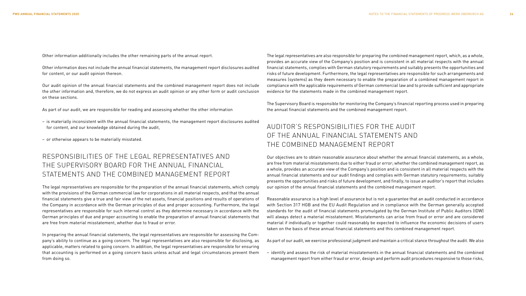Other information additionally includes the other remaining parts of the annual report.

Other information does not include the annual financial statements, the management report disclosures audited for content, or our audit opinion thereon.

Our audit opinion of the annual financial statements and the combined management report does not include the other information and, therefore, we do not express an audit opinion or any other form or audit conclusion on these sections.

As part of our audit, we are responsible for reading and assessing whether the other information

- is materially inconsistent with the annual financial statements, the management report disclosures audited for content, and our knowledge obtained during the audit,
- or otherwise appears to be materially misstated.

### RESPONSIBILITIES OF THE LEGAL REPRESENTATIVES AND THE SUPERVISORY BOARD FOR THE ANNUAL FINANCIAL STATEMENTS AND THE COMBINED MANAGEMENT REPORT

The legal representatives are responsible for the preparation of the annual financial statements, which comply with the provisions of the German commercial law for corporations in all material respects, and that the annual financial statements give a true and fair view of the net assets, financial positions and results of operations of the Company in accordance with the German principles of due and proper accounting. Furthermore, the legal representatives are responsible for such internal control as they determine necessary in accordance with the German principles of due and proper accounting to enable the preparation of annual financial statements that are free from material misstatement, whether due to fraud or error.

In preparing the annual financial statements, the legal representatives are responsible for assessing the Company's ability to continue as a going concern. The legal representatives are also responsible for disclosing, as applicable, matters related to going concern. In addition, the legal representatives are responsible for ensuring that accounting is performed on a going concern basis unless actual and legal circumstances prevent them from doing so.

The legal representatives are also responsible for preparing the combined management report, which, as a whole, provides an accurate view of the Company's position and is consistent in all material respects with the annual financial statements, complies with German statutory requirements and suitably presents the opportunities and risks of future development. Furthermore, the legal representatives are responsible for such arrangements and measures (systems) as they deem necessary to enable the preparation of a combined management report in compliance with the applicable requirements of German commercial law and to provide sufficient and appropriate evidence for the statements made in the combined management report.

The Supervisory Board is responsible for monitoring the Company's financial reporting process used in preparing the annual financial statements and the combined management report.

### AUDITOR'S RESPONSIBILITIES FOR THE AUDIT OF THE ANNUAL FINANCIAL STATEMENTS AND THE COMBINED MANAGEMENT REPORT

Our objectives are to obtain reasonable assurance about whether the annual financial statements, as a whole, are free from material misstatements due to either fraud or error; whether the combined management report, as a whole, provides an accurate view of the Company's position and is consistent in all material respects with the annual financial statements and our audit findings and complies with German statutory requirements; suitably presents the opportunities and risks of future development, and finally, to issue an auditor's report that includes our opinion of the annual financial statements and the combined management report.

Reasonable assurance is a high level of assurance but is not a guarantee that an audit conducted in accordance with Section 317 HGB and the EU Audit Regulation and in compliance with the German generally accepted standards for the audit of financial statements promulgated by the German Institute of Public Auditors (IDW) will always detect a material misstatement. Misstatements can arise from fraud or error and are considered material if individually or together could reasonably be expected to influence the economic decisions of users taken on the basis of these annual financial statements and this combined management report.

As part of our audit, we exercise professional judgment and maintain a critical stance throughout the audit. We also

– identify and assess the risk of material misstatements in the annual financial statements and the combined management report from either fraud or error, design and perform audit procedures responsive to those risks,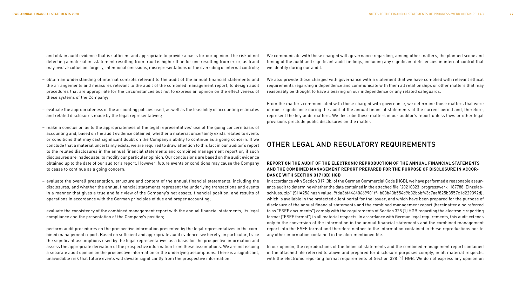and obtain audit evidence that is sufficient and appropriate to provide a basis for our opinion. The risk of not detecting a material misstatement resulting from fraud is higher than for one resulting from error, as fraud may involve collusion, forgery, intentional omissions, misrepresentations or the overriding of internal controls;

- obtain an understanding of internal controls relevant to the audit of the annual financial statements and the arrangements and measures relevant to the audit of the combined management report, to design audit procedures that are appropriate for the circumstances but not to express an opinion on the effectiveness of these systems of the Company;
- evaluate the appropriateness of the accounting policies used, as well as the feasibility of accounting estimates and related disclosures made by the legal representatives;
- make a conclusion as to the appropriateness of the legal representatives' use of the going concern basis of accounting and, based on the audit evidence obtained, whether a material uncertainty exists related to events or conditions that may cast significant doubt on the Company's ability to continue as a going concern. If we conclude that a material uncertainty exists, we are required to draw attention to this fact in our auditor's report to the related disclosures in the annual financial statements and combined management report or, if such disclosures are inadequate, to modify our particular opinion. Our conclusions are based on the audit evidence obtained up to the date of our auditor's report. However, future events or conditions may cause the Company to cease to continue as a going concern;
- evaluate the overall presentation, structure and content of the annual financial statements, including the disclosures, and whether the annual financial statements represent the underlying transactions and events in a manner that gives a true and fair view of the Company's net assets, financial position, and results of operations in accordance with the German principles of due and proper accounting;
- evaluate the consistency of the combined management report with the annual financial statements, its legal compliance and the presentation of the Company's position;
- perform audit procedures on the prospective information presented by the legal representatives in the combined management report. Based on sufficient and appropriate audit evidence, we hereby, in particular, trace the significant assumptions used by the legal representatives as a basis for the prospective information and assess the appropriate derivation of the prospective information from these assumptions. We are not issuing a separate audit opinion on the prospective information or the underlying assumptions. There is a significant, unavoidable risk that future events will deviate significantly from the prospective information.

We communicate with those charged with governance regarding, among other matters, the planned scope and timing of the audit and significant audit findings, including any significant deficiencies in internal control that we identify during our audit.

We also provide those charged with governance with a statement that we have complied with relevant ethical requirements regarding independence and communicate with them all relationships or other matters that may reasonably be thought to have a bearing on our independence or any related safeguards.

From the matters communicated with those charged with governance, we determine those matters that were of most significance during the audit of the annual financial statements of the current period and, therefore, represent the key audit matters. We describe these matters in our auditor's report unless laws or other legal provisions preclude public disclosures on the matter.

### OTHER LEGAL AND REGULATORY REQUIREMENTS

#### **REPORT ON THE AUDIT OF THE ELECTRONIC REPRODUCTION OF THE ANNUAL FINANCIAL STATEMENTS AND THE COMBINED MANAGEMENT REPORT PREPARED FOR THE PURPOSE OF DISCLOSURE IN ACCOR-DANCE WITH SECTION 317 (3B) HGB**

In accordance with Section 317 (3b) of the German Commercial Code (HGB), we have performed a reasonable assurance audit to determine whether the data contained in the attached file "20210323\_progresswerk\_187788\_Einzelabschluss. zip" (SHA256 hash value: 9fda3bf44640669901ff- b03b43b554d9b32b6bf43c7aaf825b3557c1d229392d), which is available in the protected client portal for the issuer, and which have been prepared for the purpose of disclosure of the annual financial statements and the combined management report (hereinafter also referred to as "ESEF documents") comply with the requirements of Section 328 (1) HGB regarding the electronic reporting format ("ESEF format") in all material respects. In accordance with German legal requirements, this audit extends only to the conversion of the information in the annual financial statements and the combined management report into the ESEF format and therefore neither to the information contained in these reproductions nor to any other information contained in the aforementioned file.

In our opinion, the reproductions of the financial statements and the combined management report contained in the attached file referred to above and prepared for disclosure purposes comply, in all material respects, with the electronic reporting format requirements of Section 328 (1) HGB. We do not express any opinion on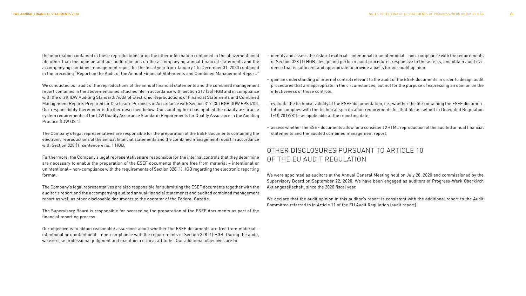the information contained in these reproductions or on the other information contained in the abovementioned file other than this opinion and our audit opinions on the accompanying annual financial statements and the accompanying combined management report for the fiscal year from January 1 to December 31, 2020 contained in the preceding "Report on the Audit of the Annual Financial Statements and Combined Management Report."

We conducted our audit of the reproductions of the annual financial statements and the combined management report contained in the abovementioned attached file in accordance with Section 317 (3b) HGB and in compliance with the draft IDW Auditing Standard: Audit of Electronic Reproductions of Financial Statements and Combined Management Reports Prepared for Disclosure Purposes in Accordance with Section 317 (3b) HGB (IDW EPS 410). Our responsibility thereunder is further described below. Our auditing firm has applied the quality assurance system requirements of the IDW Quality Assurance Standard: Requirements for Quality Assurance in the Auditing Practice (IDW QS 1).

The Company's legal representatives are responsible for the preparation of the ESEF documents containing the electronic reproductions of the annual financial statements and the combined management report in accordance with Section 328 (1) sentence 4 no. 1 HGB.

Furthermore, the Company's legal representatives are responsible for the internal controls that they determine are necessary to enable the preparation of the ESEF documents that are free from material – intentional or unintentional – non-compliance with the requirements of Section 328 (1) HGB regarding the electronic reporting format.

The Company's legal representatives are also responsible for submitting the ESEF documents together with the auditor's report and the accompanying audited annual financial statements and audited combined management report as well as other disclosable documents to the operator of the Federal Gazette.

The Supervisory Board is responsible for overseeing the preparation of the ESEF documents as part of the financial reporting process.

Our objective is to obtain reasonable assurance about whether the ESEF documents are free from material – intentional or unintentional – non-compliance with the requirements of Section 328 (1) HGB. During the audit, we exercise professional judgment and maintain a critical attitude. Our additional objectives are to

- identify and assess the risks of material intentional or unintentional non-compliance with the requirements of Section 328 (1) HGB, design and perform audit procedures responsive to those risks, and obtain audit evidence that is sufficient and appropriate to provide a basis for our audit opinion.
- gain an understanding of internal control relevant to the audit of the ESEF documents in order to design audit procedures that are appropriate in the circumstances, but not for the purpose of expressing an opinion on the effectiveness of those controls.
- evaluate the technical validity of the ESEF documentation, i.e., whether the file containing the ESEF documentation complies with the technical specification requirements for that file as set out in Delegated Regulation (EU) 2019/815, as applicable at the reporting date.
- assess whether the ESEF documents allow for a consistent XHTML reproduction of the audited annual financial statements and the audited combined management report.

### OTHER DISCLOSURES PURSUANT TO ARTICLE 10 OF THE FU AUDIT REGULATION

We were appointed as auditors at the Annual General Meeting held on July 28, 2020 and commissioned by the Supervisory Board on September 22, 2020. We have been engaged as auditors of Progress-Werk Oberkirch Aktiengesellschaft, since the 2020 fiscal year.

We declare that the audit opinion in this auditor's report is consistent with the additional report to the Audit Committee referred to in Article 11 of the EU Audit Regulation (audit report).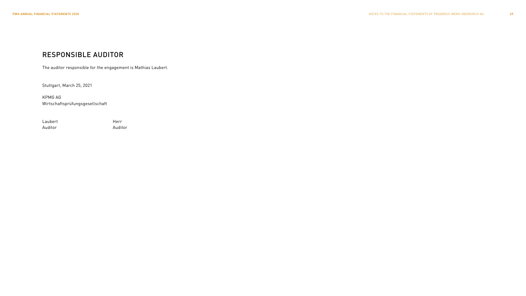### RESPONSIBLE AUDITOR

The auditor responsible for the engagement is Mathias Laubert.

Stuttgart, March 25, 2021

KPMG AG Wirtschaftsprüfungsgesellschaft

Laubert Herr Auditor Auditor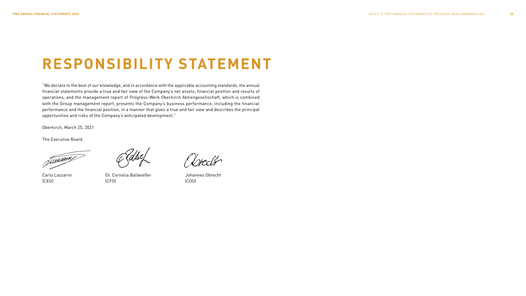## **RESPONSIBILITY STATEMENT**

"We declare to the best of our knowledge, and in accordance with the applicable accounting standards, the annual financial statements provide a true and fair view of the Company's net assets, financial position and results of operations, and the management report of Progress-Werk Oberkirch Aktiengesellschaft, which is combined with the Group management report, presents the Company's business performance, including the financial performance and the financial position, in a manner that gives a true and fair view and describes the principal opportunities and risks of the Company's anticipated development."

Oberkirch, March 25, 2021

The Executive Board

Januarie

Carlo Lazzarini Dr. Cornelia Ballwießer Johannes Obrecht (CEO) (CFO) (COO)

Vreder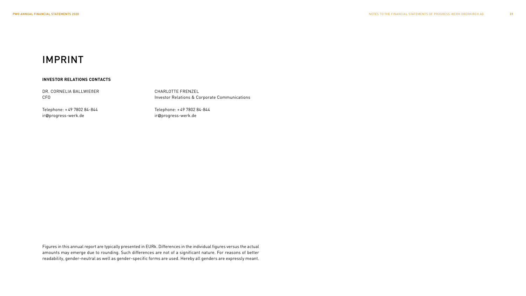## IMPRINT

#### **INVESTOR RELATIONS CONTACTS**

DR. CORNELIA BALLWIEßER CFO

Investor Relations & Corporate Communications

Telephone: + 49 7802 84-844 ir@progress-werk.de

Telephone: + 49 7802 84-844 ir@progress-werk.de

CHARLOTTE FRENZEL

Figures in this annual report are typically presented in EURk. Differences in the individual figures versus the actual amounts may emerge due to rounding. Such differences are not of a significant nature. For reasons of better readability, gender-neutral as well as gender-specific forms are used. Hereby all genders are expressly meant.